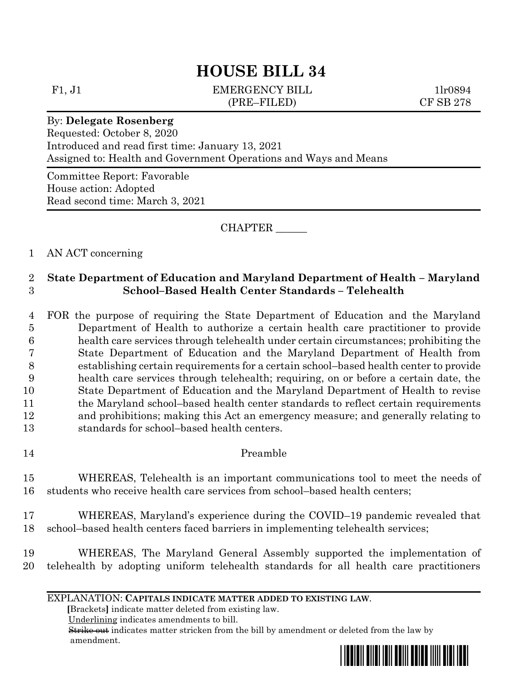# **HOUSE BILL 34**

F1, J1 EMERGENCY BILL 1lr0894 (PRE–FILED) CF SB 278

### By: **Delegate Rosenberg**

Requested: October 8, 2020 Introduced and read first time: January 13, 2021 Assigned to: Health and Government Operations and Ways and Means

Committee Report: Favorable House action: Adopted Read second time: March 3, 2021

CHAPTER \_\_\_\_\_\_

1 AN ACT concerning

## 2 **State Department of Education and Maryland Department of Health – Maryland**  3 **School–Based Health Center Standards – Telehealth**

 FOR the purpose of requiring the State Department of Education and the Maryland Department of Health to authorize a certain health care practitioner to provide health care services through telehealth under certain circumstances; prohibiting the State Department of Education and the Maryland Department of Health from establishing certain requirements for a certain school–based health center to provide health care services through telehealth; requiring, on or before a certain date, the State Department of Education and the Maryland Department of Health to revise 11 the Maryland school–based health center standards to reflect certain requirements and prohibitions; making this Act an emergency measure; and generally relating to standards for school–based health centers.

14 Preamble

# 15 WHEREAS, Telehealth is an important communications tool to meet the needs of 16 students who receive health care services from school–based health centers;

- 17 WHEREAS, Maryland's experience during the COVID–19 pandemic revealed that 18 school–based health centers faced barriers in implementing telehealth services;
- 19 WHEREAS, The Maryland General Assembly supported the implementation of 20 telehealth by adopting uniform telehealth standards for all health care practitioners

#### EXPLANATION: **CAPITALS INDICATE MATTER ADDED TO EXISTING LAW**.

 **[**Brackets**]** indicate matter deleted from existing law.

Underlining indicates amendments to bill.

 Strike out indicates matter stricken from the bill by amendment or deleted from the law by amendment.